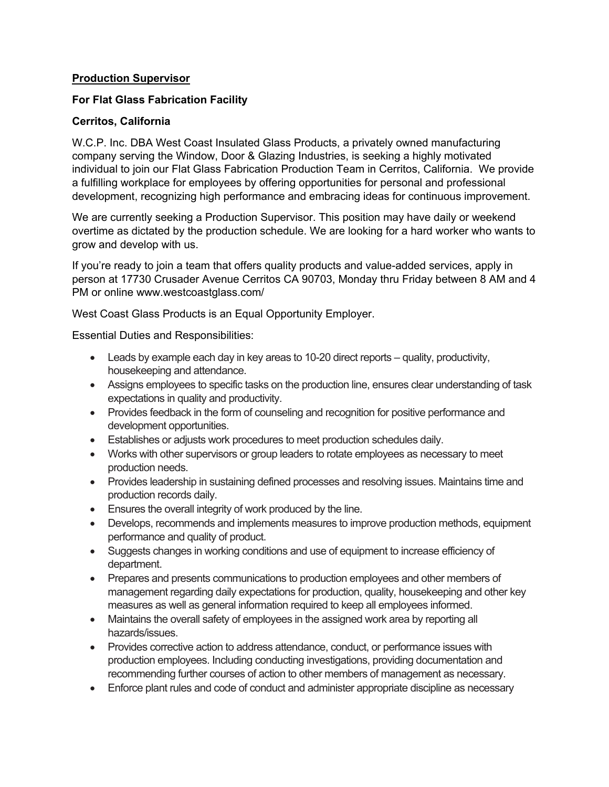## **Production Supervisor**

## **For Flat Glass Fabrication Facility**

## **Cerritos, California**

W.C.P. Inc. DBA West Coast Insulated Glass Products, a privately owned manufacturing company serving the Window, Door & Glazing Industries, is seeking a highly motivated individual to join our Flat Glass Fabrication Production Team in Cerritos, California. We provide a fulfilling workplace for employees by offering opportunities for personal and professional development, recognizing high performance and embracing ideas for continuous improvement.

We are currently seeking a Production Supervisor. This position may have daily or weekend overtime as dictated by the production schedule. We are looking for a hard worker who wants to grow and develop with us.

If you're ready to join a team that offers quality products and value-added services, apply in person at 17730 Crusader Avenue Cerritos CA 90703, Monday thru Friday between 8 AM and 4 PM or online www.westcoastglass.com/

West Coast Glass Products is an Equal Opportunity Employer.

Essential Duties and Responsibilities:

- Leads by example each day in key areas to 10-20 direct reports quality, productivity, housekeeping and attendance.
- Assigns employees to specific tasks on the production line, ensures clear understanding of task expectations in quality and productivity.
- Provides feedback in the form of counseling and recognition for positive performance and development opportunities.
- Establishes or adjusts work procedures to meet production schedules daily.
- Works with other supervisors or group leaders to rotate employees as necessary to meet production needs.
- Provides leadership in sustaining defined processes and resolving issues. Maintains time and production records daily.
- Ensures the overall integrity of work produced by the line.
- Develops, recommends and implements measures to improve production methods, equipment performance and quality of product.
- Suggests changes in working conditions and use of equipment to increase efficiency of department.
- Prepares and presents communications to production employees and other members of management regarding daily expectations for production, quality, housekeeping and other key measures as well as general information required to keep all employees informed.
- Maintains the overall safety of employees in the assigned work area by reporting all hazards/issues.
- Provides corrective action to address attendance, conduct, or performance issues with production employees. Including conducting investigations, providing documentation and recommending further courses of action to other members of management as necessary.
- Enforce plant rules and code of conduct and administer appropriate discipline as necessary